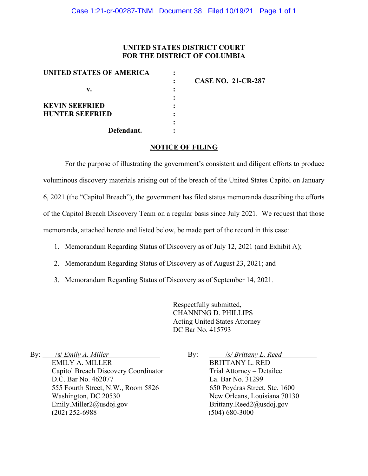### **UNITED STATES DISTRICT COURT FOR THE DISTRICT OF COLUMBIA**

| UNITED STATES OF AMERICA |                           |
|--------------------------|---------------------------|
|                          | <b>CASE NO. 21-CR-287</b> |
| v.                       |                           |
|                          |                           |
| <b>KEVIN SEEFRIED</b>    |                           |
| <b>HUNTER SEEFRIED</b>   |                           |
|                          |                           |
| Defendant.               |                           |

### **NOTICE OF FILING**

For the purpose of illustrating the government's consistent and diligent efforts to produce voluminous discovery materials arising out of the breach of the United States Capitol on January 6, 2021 (the "Capitol Breach"), the government has filed status memoranda describing the efforts of the Capitol Breach Discovery Team on a regular basis since July 2021. We request that those memoranda, attached hereto and listed below, be made part of the record in this case:

- 1. Memorandum Regarding Status of Discovery as of July 12, 2021 (and Exhibit A);
- 2. Memorandum Regarding Status of Discovery as of August 23, 2021; and
- 3. Memorandum Regarding Status of Discovery as of September 14, 2021.

Respectfully submitted, CHANNING D. PHILLIPS Acting United States Attorney DC Bar No. 415793

By: /s/ *Emily A. Miller* EMILY A. MILLER Capitol Breach Discovery Coordinator D.C. Bar No. 462077 555 Fourth Street, N.W., Room 5826 Washington, DC 20530 Emily.Miller2@usdoj.gov (202) 252-6988

By: /*s/ Brittany L. Reed* BRITTANY L. RED Trial Attorney – Detailee La. Bar No. 31299 650 Poydras Street, Ste. 1600 New Orleans, Louisiana 70130 Brittany.Reed2@usdoj.gov (504) 680-3000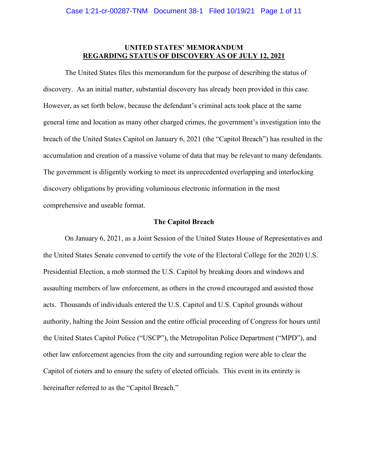### **UNITED STATES' MEMORANDUM REGARDING STATUS OF DISCOVERY AS OF JULY 12, 2021**

The United States files this memorandum for the purpose of describing the status of discovery. As an initial matter, substantial discovery has already been provided in this case. However, as set forth below, because the defendant's criminal acts took place at the same general time and location as many other charged crimes, the government's investigation into the breach of the United States Capitol on January 6, 2021 (the "Capitol Breach") has resulted in the accumulation and creation of a massive volume of data that may be relevant to many defendants. The government is diligently working to meet its unprecedented overlapping and interlocking discovery obligations by providing voluminous electronic information in the most comprehensive and useable format.

### **The Capitol Breach**

On January 6, 2021, as a Joint Session of the United States House of Representatives and the United States Senate convened to certify the vote of the Electoral College for the 2020 U.S. Presidential Election, a mob stormed the U.S. Capitol by breaking doors and windows and assaulting members of law enforcement, as others in the crowd encouraged and assisted those acts. Thousands of individuals entered the U.S. Capitol and U.S. Capitol grounds without authority, halting the Joint Session and the entire official proceeding of Congress for hours until the United States Capitol Police ("USCP"), the Metropolitan Police Department ("MPD"), and other law enforcement agencies from the city and surrounding region were able to clear the Capitol of rioters and to ensure the safety of elected officials. This event in its entirety is hereinafter referred to as the "Capitol Breach."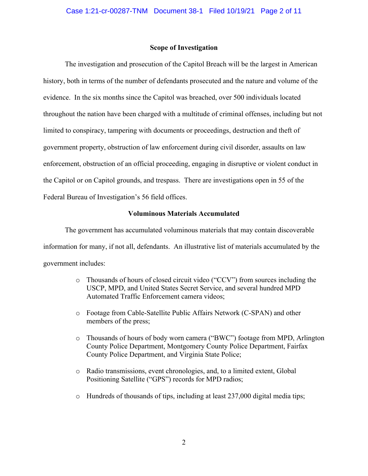### **Scope of Investigation**

The investigation and prosecution of the Capitol Breach will be the largest in American history, both in terms of the number of defendants prosecuted and the nature and volume of the evidence. In the six months since the Capitol was breached, over 500 individuals located throughout the nation have been charged with a multitude of criminal offenses, including but not limited to conspiracy, tampering with documents or proceedings, destruction and theft of government property, obstruction of law enforcement during civil disorder, assaults on law enforcement, obstruction of an official proceeding, engaging in disruptive or violent conduct in the Capitol or on Capitol grounds, and trespass. There are investigations open in 55 of the Federal Bureau of Investigation's 56 field offices.

### **Voluminous Materials Accumulated**

The government has accumulated voluminous materials that may contain discoverable information for many, if not all, defendants. An illustrative list of materials accumulated by the government includes:

- o Thousands of hours of closed circuit video ("CCV") from sources including the USCP, MPD, and United States Secret Service, and several hundred MPD Automated Traffic Enforcement camera videos;
- o Footage from Cable-Satellite Public Affairs Network (C-SPAN) and other members of the press;
- o Thousands of hours of body worn camera ("BWC") footage from MPD, Arlington County Police Department, Montgomery County Police Department, Fairfax County Police Department, and Virginia State Police;
- o Radio transmissions, event chronologies, and, to a limited extent, Global Positioning Satellite ("GPS") records for MPD radios;
- o Hundreds of thousands of tips, including at least 237,000 digital media tips;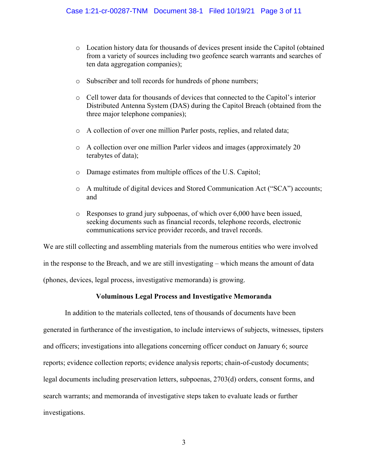- o Location history data for thousands of devices present inside the Capitol (obtained from a variety of sources including two geofence search warrants and searches of ten data aggregation companies);
- o Subscriber and toll records for hundreds of phone numbers;
- o Cell tower data for thousands of devices that connected to the Capitol's interior Distributed Antenna System (DAS) during the Capitol Breach (obtained from the three major telephone companies);
- o A collection of over one million Parler posts, replies, and related data;
- o A collection over one million Parler videos and images (approximately 20 terabytes of data);
- o Damage estimates from multiple offices of the U.S. Capitol;
- o A multitude of digital devices and Stored Communication Act ("SCA") accounts; and
- o Responses to grand jury subpoenas, of which over 6,000 have been issued, seeking documents such as financial records, telephone records, electronic communications service provider records, and travel records.

We are still collecting and assembling materials from the numerous entities who were involved in the response to the Breach, and we are still investigating – which means the amount of data (phones, devices, legal process, investigative memoranda) is growing.

## **Voluminous Legal Process and Investigative Memoranda**

In addition to the materials collected, tens of thousands of documents have been generated in furtherance of the investigation, to include interviews of subjects, witnesses, tipsters and officers; investigations into allegations concerning officer conduct on January 6; source reports; evidence collection reports; evidence analysis reports; chain-of-custody documents; legal documents including preservation letters, subpoenas, 2703(d) orders, consent forms, and search warrants; and memoranda of investigative steps taken to evaluate leads or further investigations.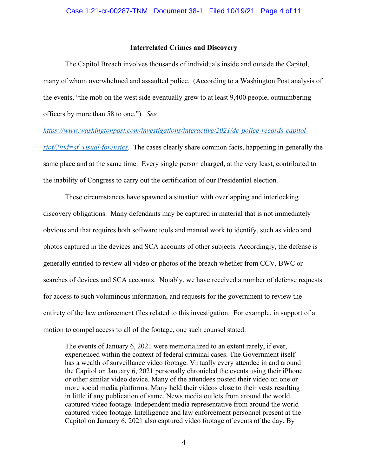### **Interrelated Crimes and Discovery**

The Capitol Breach involves thousands of individuals inside and outside the Capitol, many of whom overwhelmed and assaulted police. (According to a Washington Post analysis of the events, "the mob on the west side eventually grew to at least 9,400 people, outnumbering officers by more than 58 to one.") *See* 

*https://www.washingtonpost.com/investigations/interactive/2021/dc-police-records-capitol-*

*riot/?itid=sf\_visual-forensics*. The cases clearly share common facts, happening in generally the same place and at the same time. Every single person charged, at the very least, contributed to the inability of Congress to carry out the certification of our Presidential election.

These circumstances have spawned a situation with overlapping and interlocking discovery obligations. Many defendants may be captured in material that is not immediately obvious and that requires both software tools and manual work to identify, such as video and photos captured in the devices and SCA accounts of other subjects. Accordingly, the defense is generally entitled to review all video or photos of the breach whether from CCV, BWC or searches of devices and SCA accounts. Notably, we have received a number of defense requests for access to such voluminous information, and requests for the government to review the entirety of the law enforcement files related to this investigation. For example, in support of a motion to compel access to all of the footage, one such counsel stated:

The events of January 6, 2021 were memorialized to an extent rarely, if ever, experienced within the context of federal criminal cases. The Government itself has a wealth of surveillance video footage. Virtually every attendee in and around the Capitol on January 6, 2021 personally chronicled the events using their iPhone or other similar video device. Many of the attendees posted their video on one or more social media platforms. Many held their videos close to their vests resulting in little if any publication of same. News media outlets from around the world captured video footage. Independent media representative from around the world captured video footage. Intelligence and law enforcement personnel present at the Capitol on January 6, 2021 also captured video footage of events of the day. By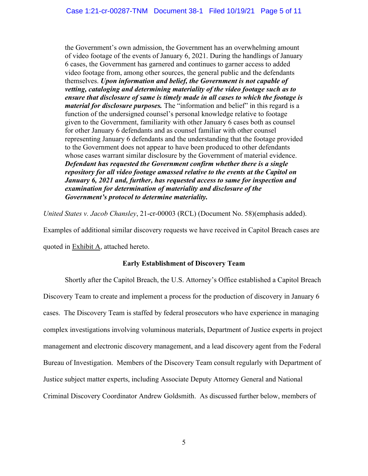the Government's own admission, the Government has an overwhelming amount of video footage of the events of January 6, 2021. During the handlings of January 6 cases, the Government has garnered and continues to garner access to added video footage from, among other sources, the general public and the defendants themselves. *Upon information and belief, the Government is not capable of vetting, cataloging and determining materiality of the video footage such as to ensure that disclosure of same is timely made in all cases to which the footage is material for disclosure purposes.* The "information and belief" in this regard is a function of the undersigned counsel's personal knowledge relative to footage given to the Government, familiarity with other January 6 cases both as counsel for other January 6 defendants and as counsel familiar with other counsel representing January 6 defendants and the understanding that the footage provided to the Government does not appear to have been produced to other defendants whose cases warrant similar disclosure by the Government of material evidence. *Defendant has requested the Government confirm whether there is a single repository for all video footage amassed relative to the events at the Capitol on January 6, 2021 and, further, has requested access to same for inspection and examination for determination of materiality and disclosure of the Government's protocol to determine materiality.*

*United States v. Jacob Chansley*, 21-cr-00003 (RCL) (Document No. 58)(emphasis added).

Examples of additional similar discovery requests we have received in Capitol Breach cases are quoted in Exhibit A, attached hereto.

### **Early Establishment of Discovery Team**

Shortly after the Capitol Breach, the U.S. Attorney's Office established a Capitol Breach Discovery Team to create and implement a process for the production of discovery in January 6 cases. The Discovery Team is staffed by federal prosecutors who have experience in managing complex investigations involving voluminous materials, Department of Justice experts in project management and electronic discovery management, and a lead discovery agent from the Federal Bureau of Investigation. Members of the Discovery Team consult regularly with Department of Justice subject matter experts, including Associate Deputy Attorney General and National Criminal Discovery Coordinator Andrew Goldsmith. As discussed further below, members of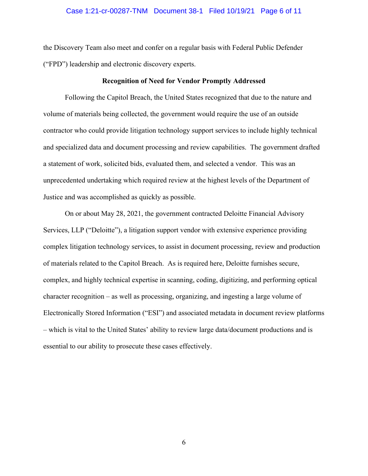### Case 1:21-cr-00287-TNM Document 38-1 Filed 10/19/21 Page 6 of 11

the Discovery Team also meet and confer on a regular basis with Federal Public Defender ("FPD") leadership and electronic discovery experts.

#### **Recognition of Need for Vendor Promptly Addressed**

Following the Capitol Breach, the United States recognized that due to the nature and volume of materials being collected, the government would require the use of an outside contractor who could provide litigation technology support services to include highly technical and specialized data and document processing and review capabilities. The government drafted a statement of work, solicited bids, evaluated them, and selected a vendor. This was an unprecedented undertaking which required review at the highest levels of the Department of Justice and was accomplished as quickly as possible.

On or about May 28, 2021, the government contracted Deloitte Financial Advisory Services, LLP ("Deloitte"), a litigation support vendor with extensive experience providing complex litigation technology services, to assist in document processing, review and production of materials related to the Capitol Breach. As is required here, Deloitte furnishes secure, complex, and highly technical expertise in scanning, coding, digitizing, and performing optical character recognition – as well as processing, organizing, and ingesting a large volume of Electronically Stored Information ("ESI") and associated metadata in document review platforms – which is vital to the United States' ability to review large data/document productions and is essential to our ability to prosecute these cases effectively.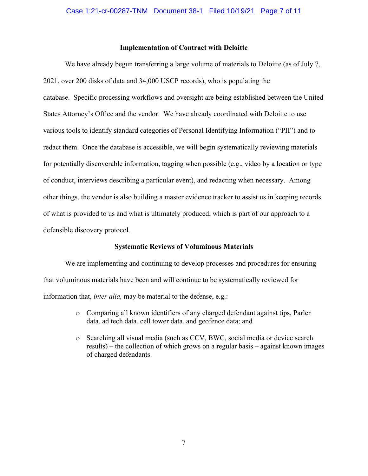### **Implementation of Contract with Deloitte**

We have already begun transferring a large volume of materials to Deloitte (as of July 7, 2021, over 200 disks of data and 34,000 USCP records), who is populating the database. Specific processing workflows and oversight are being established between the United States Attorney's Office and the vendor. We have already coordinated with Deloitte to use various tools to identify standard categories of Personal Identifying Information ("PII") and to redact them. Once the database is accessible, we will begin systematically reviewing materials for potentially discoverable information, tagging when possible (e.g., video by a location or type of conduct, interviews describing a particular event), and redacting when necessary. Among other things, the vendor is also building a master evidence tracker to assist us in keeping records of what is provided to us and what is ultimately produced, which is part of our approach to a defensible discovery protocol.

### **Systematic Reviews of Voluminous Materials**

We are implementing and continuing to develop processes and procedures for ensuring that voluminous materials have been and will continue to be systematically reviewed for information that, *inter alia,* may be material to the defense, e.g.:

- o Comparing all known identifiers of any charged defendant against tips, Parler data, ad tech data, cell tower data, and geofence data; and
- o Searching all visual media (such as CCV, BWC, social media or device search results) – the collection of which grows on a regular basis – against known images of charged defendants.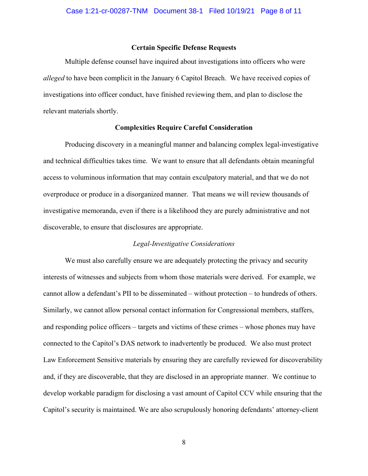### **Certain Specific Defense Requests**

Multiple defense counsel have inquired about investigations into officers who were *alleged* to have been complicit in the January 6 Capitol Breach. We have received copies of investigations into officer conduct, have finished reviewing them, and plan to disclose the relevant materials shortly.

#### **Complexities Require Careful Consideration**

Producing discovery in a meaningful manner and balancing complex legal-investigative and technical difficulties takes time. We want to ensure that all defendants obtain meaningful access to voluminous information that may contain exculpatory material, and that we do not overproduce or produce in a disorganized manner. That means we will review thousands of investigative memoranda, even if there is a likelihood they are purely administrative and not discoverable, to ensure that disclosures are appropriate.

#### *Legal-Investigative Considerations*

We must also carefully ensure we are adequately protecting the privacy and security interests of witnesses and subjects from whom those materials were derived. For example, we cannot allow a defendant's PII to be disseminated – without protection – to hundreds of others. Similarly, we cannot allow personal contact information for Congressional members, staffers, and responding police officers – targets and victims of these crimes – whose phones may have connected to the Capitol's DAS network to inadvertently be produced. We also must protect Law Enforcement Sensitive materials by ensuring they are carefully reviewed for discoverability and, if they are discoverable, that they are disclosed in an appropriate manner. We continue to develop workable paradigm for disclosing a vast amount of Capitol CCV while ensuring that the Capitol's security is maintained. We are also scrupulously honoring defendants' attorney-client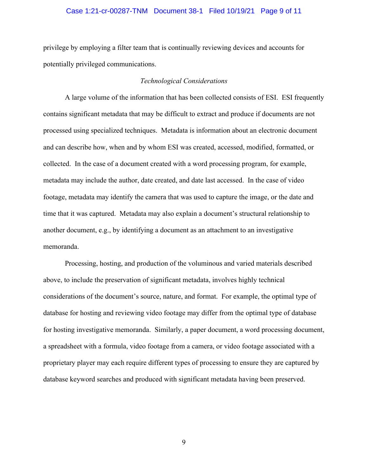### Case 1:21-cr-00287-TNM Document 38-1 Filed 10/19/21 Page 9 of 11

privilege by employing a filter team that is continually reviewing devices and accounts for potentially privileged communications.

### *Technological Considerations*

A large volume of the information that has been collected consists of ESI. ESI frequently contains significant metadata that may be difficult to extract and produce if documents are not processed using specialized techniques. Metadata is information about an electronic document and can describe how, when and by whom ESI was created, accessed, modified, formatted, or collected. In the case of a document created with a word processing program, for example, metadata may include the author, date created, and date last accessed. In the case of video footage, metadata may identify the camera that was used to capture the image, or the date and time that it was captured. Metadata may also explain a document's structural relationship to another document, e.g., by identifying a document as an attachment to an investigative memoranda.

Processing, hosting, and production of the voluminous and varied materials described above, to include the preservation of significant metadata, involves highly technical considerations of the document's source, nature, and format. For example, the optimal type of database for hosting and reviewing video footage may differ from the optimal type of database for hosting investigative memoranda. Similarly, a paper document, a word processing document, a spreadsheet with a formula, video footage from a camera, or video footage associated with a proprietary player may each require different types of processing to ensure they are captured by database keyword searches and produced with significant metadata having been preserved.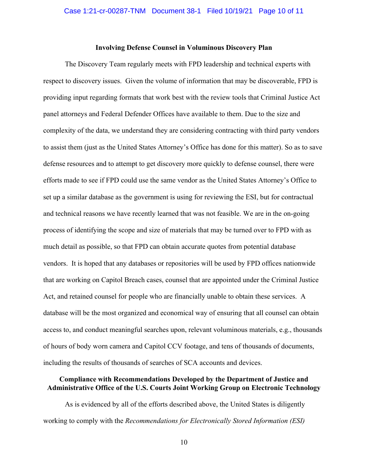### **Involving Defense Counsel in Voluminous Discovery Plan**

The Discovery Team regularly meets with FPD leadership and technical experts with respect to discovery issues. Given the volume of information that may be discoverable, FPD is providing input regarding formats that work best with the review tools that Criminal Justice Act panel attorneys and Federal Defender Offices have available to them. Due to the size and complexity of the data, we understand they are considering contracting with third party vendors to assist them (just as the United States Attorney's Office has done for this matter). So as to save defense resources and to attempt to get discovery more quickly to defense counsel, there were efforts made to see if FPD could use the same vendor as the United States Attorney's Office to set up a similar database as the government is using for reviewing the ESI, but for contractual and technical reasons we have recently learned that was not feasible. We are in the on-going process of identifying the scope and size of materials that may be turned over to FPD with as much detail as possible, so that FPD can obtain accurate quotes from potential database vendors. It is hoped that any databases or repositories will be used by FPD offices nationwide that are working on Capitol Breach cases, counsel that are appointed under the Criminal Justice Act, and retained counsel for people who are financially unable to obtain these services. A database will be the most organized and economical way of ensuring that all counsel can obtain access to, and conduct meaningful searches upon, relevant voluminous materials, e.g., thousands of hours of body worn camera and Capitol CCV footage, and tens of thousands of documents, including the results of thousands of searches of SCA accounts and devices.

### **Compliance with Recommendations Developed by the Department of Justice and Administrative Office of the U.S. Courts Joint Working Group on Electronic Technology**

As is evidenced by all of the efforts described above, the United States is diligently working to comply with the *Recommendations for Electronically Stored Information (ESI)*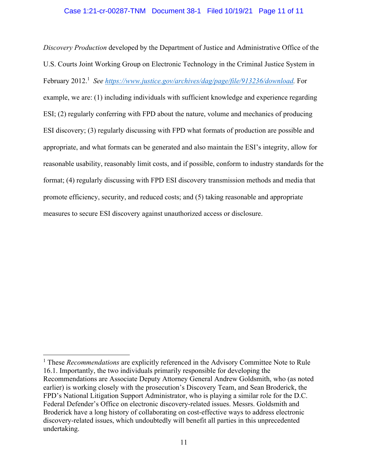*Discovery Production* developed by the Department of Justice and Administrative Office of the U.S. Courts Joint Working Group on Electronic Technology in the Criminal Justice System in February 2012.<sup>1</sup> See https://www.justice.gov/archives/dag/page/file/913236/download. For example, we are: (1) including individuals with sufficient knowledge and experience regarding ESI; (2) regularly conferring with FPD about the nature, volume and mechanics of producing ESI discovery; (3) regularly discussing with FPD what formats of production are possible and appropriate, and what formats can be generated and also maintain the ESI's integrity, allow for reasonable usability, reasonably limit costs, and if possible, conform to industry standards for the format; (4) regularly discussing with FPD ESI discovery transmission methods and media that promote efficiency, security, and reduced costs; and (5) taking reasonable and appropriate measures to secure ESI discovery against unauthorized access or disclosure.

<sup>&</sup>lt;sup>1</sup> These *Recommendations* are explicitly referenced in the Advisory Committee Note to Rule 16.1. Importantly, the two individuals primarily responsible for developing the Recommendations are Associate Deputy Attorney General Andrew Goldsmith, who (as noted earlier) is working closely with the prosecution's Discovery Team, and Sean Broderick, the FPD's National Litigation Support Administrator, who is playing a similar role for the D.C. Federal Defender's Office on electronic discovery-related issues. Messrs. Goldsmith and Broderick have a long history of collaborating on cost-effective ways to address electronic discovery-related issues, which undoubtedly will benefit all parties in this unprecedented undertaking.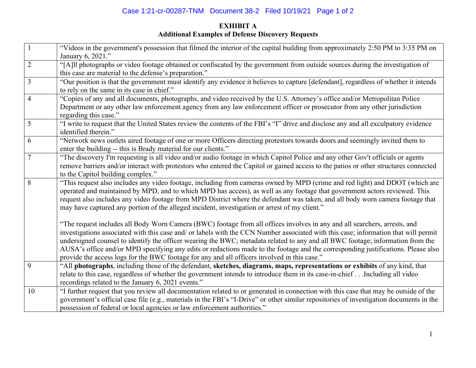# Case 1:21-cr-00287-TNM Document 38-2 Filed 10/19/21 Page 1 of 2

## **EXHIBIT A Additional Examples of Defense Discovery Requests**

| $\mathbf{1}$   | "Videos in the government's possession that filmed the interior of the capital building from approximately 2:50 PM to 3:35 PM on<br>January 6, 2021."                                                                                                                                                                                                                                                                                                                                                                                                                                                                                   |
|----------------|-----------------------------------------------------------------------------------------------------------------------------------------------------------------------------------------------------------------------------------------------------------------------------------------------------------------------------------------------------------------------------------------------------------------------------------------------------------------------------------------------------------------------------------------------------------------------------------------------------------------------------------------|
| $\sqrt{2}$     | "[A]ll photographs or video footage obtained or confiscated by the government from outside sources during the investigation of<br>this case are material to the defense's preparation."                                                                                                                                                                                                                                                                                                                                                                                                                                                 |
| $\overline{3}$ | "Our position is that the government must identify any evidence it believes to capture [defendant], regardless of whether it intends<br>to rely on the same in its case in chief."                                                                                                                                                                                                                                                                                                                                                                                                                                                      |
| $\overline{4}$ | "Copies of any and all documents, photographs, and video received by the U.S. Attorney's office and/or Metropolitan Police<br>Department or any other law enforcement agency from any law enforcement officer or prosecutor from any other jurisdiction<br>regarding this case."                                                                                                                                                                                                                                                                                                                                                        |
| 5              | "I write to request that the United States review the contents of the FBI's "I" drive and disclose any and all exculpatory evidence<br>identified therein."                                                                                                                                                                                                                                                                                                                                                                                                                                                                             |
| 6              | "Network news outlets aired footage of one or more Officers directing protestors towards doors and seemingly invited them to<br>enter the building -- this is Brady material for our clients."                                                                                                                                                                                                                                                                                                                                                                                                                                          |
| $\overline{7}$ | "The discovery I'm requesting is all video and/or audio footage in which Capitol Police and any other Gov't officials or agents<br>remove barriers and/or interact with protestors who entered the Capitol or gained access to the patios or other structures connected<br>to the Capitol building complex."                                                                                                                                                                                                                                                                                                                            |
| 8              | "This request also includes any video footage, including from cameras owned by MPD (crime and red light) and DDOT (which are<br>operated and maintained by MPD, and to which MPD has access), as well as any footage that government actors reviewed. This<br>request also includes any video footage from MPD District where the defendant was taken, and all body worn camera footage that<br>may have captured any portion of the alleged incident, investigation or arrest of my client."                                                                                                                                           |
|                | "The request includes all Body Worn Camera (BWC) footage from all offices involves in any and all searchers, arrests, and<br>investigations associated with this case and/ or labels with the CCN Number associated with this case; information that will permit<br>undersigned counsel to identify the officer wearing the BWC; metadata related to any and all BWC footage; information from the<br>AUSA's office and/or MPD specifying any edits or redactions made to the footage and the corresponding justifications. Please also<br>provide the access logs for the BWC footage for any and all officers involved in this case." |
| 9              | "All photographs, including those of the defendant, sketches, diagrams, maps, representations or exhibits of any kind, that<br>relate to this case, regardless of whether the government intends to introduce them in its case-in-chiefIncluding all video<br>recordings related to the January 6, 2021 events."                                                                                                                                                                                                                                                                                                                        |
| 10             | "I further request that you review all documentation related to or generated in connection with this case that may be outside of the<br>government's official case file (e.g., materials in the FBI's "I-Drive" or other similar repositories of investigation documents in the<br>possession of federal or local agencies or law enforcement authorities."                                                                                                                                                                                                                                                                             |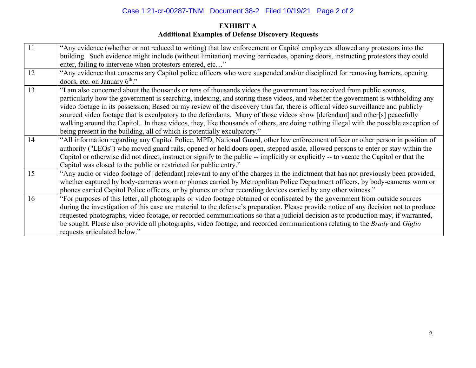## Case 1:21-cr-00287-TNM Document 38-2 Filed 10/19/21 Page 2 of 2

## **EXHIBIT A Additional Examples of Defense Discovery Requests**

| 11 | "Any evidence (whether or not reduced to writing) that law enforcement or Capitol employees allowed any protestors into the             |
|----|-----------------------------------------------------------------------------------------------------------------------------------------|
|    | building. Such evidence might include (without limitation) moving barricades, opening doors, instructing protestors they could          |
|    | enter, failing to intervene when protestors entered, etc"                                                                               |
| 12 | "Any evidence that concerns any Capitol police officers who were suspended and/or disciplined for removing barriers, opening            |
|    | doors, etc. on January 6 <sup>th</sup> ."                                                                                               |
| 13 | "I am also concerned about the thousands or tens of thousands videos the government has received from public sources,                   |
|    | particularly how the government is searching, indexing, and storing these videos, and whether the government is withholding any         |
|    | video footage in its possession; Based on my review of the discovery thus far, there is official video surveillance and publicly        |
|    | sourced video footage that is exculpatory to the defendants. Many of those videos show [defendant] and other[s] peacefully              |
|    | walking around the Capitol. In these videos, they, like thousands of others, are doing nothing illegal with the possible exception of   |
|    | being present in the building, all of which is potentially exculpatory."                                                                |
| 14 | "All information regarding any Capitol Police, MPD, National Guard, other law enforcement officer or other person in position of        |
|    | authority ("LEOs") who moved guard rails, opened or held doors open, stepped aside, allowed persons to enter or stay within the         |
|    | Capitol or otherwise did not direct, instruct or signify to the public -- implicitly or explicitly -- to vacate the Capitol or that the |
|    | Capitol was closed to the public or restricted for public entry."                                                                       |
| 15 | "Any audio or video footage of [defendant] relevant to any of the charges in the indictment that has not previously been provided,      |
|    | whether captured by body-cameras worn or phones carried by Metropolitan Police Department officers, by body-cameras worn or             |
|    | phones carried Capitol Police officers, or by phones or other recording devices carried by any other witness."                          |
| 16 | "For purposes of this letter, all photographs or video footage obtained or confiscated by the government from outside sources           |
|    | during the investigation of this case are material to the defense's preparation. Please provide notice of any decision not to produce   |
|    | requested photographs, video footage, or recorded communications so that a judicial decision as to production may, if warranted,        |
|    | be sought. Please also provide all photographs, video footage, and recorded communications relating to the Brady and Giglio             |
|    | requests articulated below."                                                                                                            |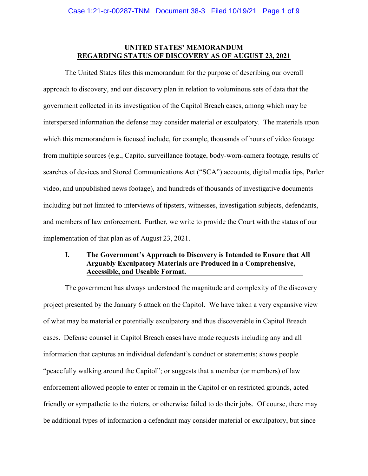### **UNITED STATES' MEMORANDUM REGARDING STATUS OF DISCOVERY AS OF AUGUST 23, 2021**

 The United States files this memorandum for the purpose of describing our overall approach to discovery, and our discovery plan in relation to voluminous sets of data that the government collected in its investigation of the Capitol Breach cases, among which may be interspersed information the defense may consider material or exculpatory. The materials upon which this memorandum is focused include, for example, thousands of hours of video footage from multiple sources (e.g., Capitol surveillance footage, body-worn-camera footage, results of searches of devices and Stored Communications Act ("SCA") accounts, digital media tips, Parler video, and unpublished news footage), and hundreds of thousands of investigative documents including but not limited to interviews of tipsters, witnesses, investigation subjects, defendants, and members of law enforcement. Further, we write to provide the Court with the status of our implementation of that plan as of August 23, 2021.

### **I. The Government's Approach to Discovery is Intended to Ensure that All Arguably Exculpatory Materials are Produced in a Comprehensive, Accessible, and Useable Format.**

The government has always understood the magnitude and complexity of the discovery project presented by the January 6 attack on the Capitol. We have taken a very expansive view of what may be material or potentially exculpatory and thus discoverable in Capitol Breach cases. Defense counsel in Capitol Breach cases have made requests including any and all information that captures an individual defendant's conduct or statements; shows people "peacefully walking around the Capitol"; or suggests that a member (or members) of law enforcement allowed people to enter or remain in the Capitol or on restricted grounds, acted friendly or sympathetic to the rioters, or otherwise failed to do their jobs. Of course, there may be additional types of information a defendant may consider material or exculpatory, but since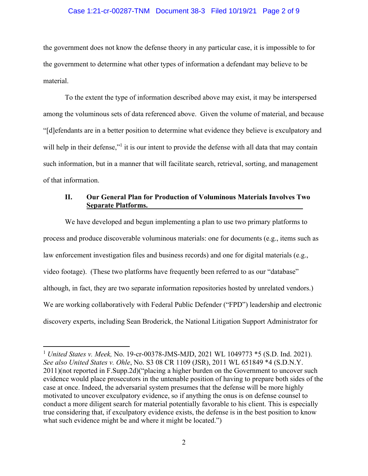### Case 1:21-cr-00287-TNM Document 38-3 Filed 10/19/21 Page 2 of 9

the government does not know the defense theory in any particular case, it is impossible to for the government to determine what other types of information a defendant may believe to be material.

To the extent the type of information described above may exist, it may be interspersed among the voluminous sets of data referenced above. Given the volume of material, and because "[d]efendants are in a better position to determine what evidence they believe is exculpatory and will help in their defense,"<sup>1</sup> it is our intent to provide the defense with all data that may contain such information, but in a manner that will facilitate search, retrieval, sorting, and management of that information.

### **II. Our General Plan for Production of Voluminous Materials Involves Two Separate Platforms.**

We have developed and begun implementing a plan to use two primary platforms to process and produce discoverable voluminous materials: one for documents (e.g., items such as law enforcement investigation files and business records) and one for digital materials (e.g., video footage). (These two platforms have frequently been referred to as our "database" although, in fact, they are two separate information repositories hosted by unrelated vendors.) We are working collaboratively with Federal Public Defender ("FPD") leadership and electronic discovery experts, including Sean Broderick, the National Litigation Support Administrator for

<sup>1</sup> *United States v. Meek,* No. 19-cr-00378-JMS-MJD, 2021 WL 1049773 \*5 (S.D. Ind. 2021). *See also United States v. Ohle*, No. S3 08 CR 1109 (JSR), 2011 WL 651849 \*4 (S.D.N.Y. 2011)(not reported in F.Supp.2d)("placing a higher burden on the Government to uncover such evidence would place prosecutors in the untenable position of having to prepare both sides of the case at once. Indeed, the adversarial system presumes that the defense will be more highly motivated to uncover exculpatory evidence, so if anything the onus is on defense counsel to conduct a more diligent search for material potentially favorable to his client. This is especially true considering that, if exculpatory evidence exists, the defense is in the best position to know what such evidence might be and where it might be located.")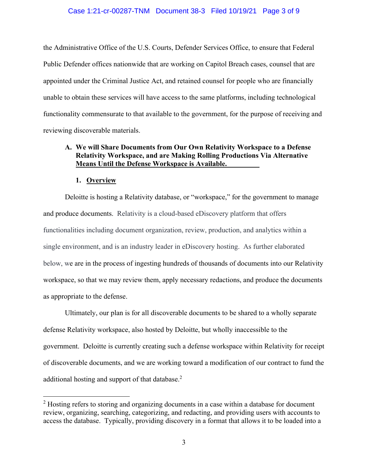### Case 1:21-cr-00287-TNM Document 38-3 Filed 10/19/21 Page 3 of 9

the Administrative Office of the U.S. Courts, Defender Services Office, to ensure that Federal Public Defender offices nationwide that are working on Capitol Breach cases, counsel that are appointed under the Criminal Justice Act, and retained counsel for people who are financially unable to obtain these services will have access to the same platforms, including technological functionality commensurate to that available to the government, for the purpose of receiving and reviewing discoverable materials.

### **A. We will Share Documents from Our Own Relativity Workspace to a Defense Relativity Workspace, and are Making Rolling Productions Via Alternative Means Until the Defense Workspace is Available.**

### **1. Overview**

Deloitte is hosting a Relativity database, or "workspace," for the government to manage and produce documents. Relativity is a cloud-based eDiscovery platform that offers functionalities including document organization, review, production, and analytics within a single environment, and is an industry leader in eDiscovery hosting. As further elaborated below, we are in the process of ingesting hundreds of thousands of documents into our Relativity workspace, so that we may review them, apply necessary redactions, and produce the documents as appropriate to the defense.

Ultimately, our plan is for all discoverable documents to be shared to a wholly separate defense Relativity workspace, also hosted by Deloitte, but wholly inaccessible to the government. Deloitte is currently creating such a defense workspace within Relativity for receipt of discoverable documents, and we are working toward a modification of our contract to fund the additional hosting and support of that database. $2$ 

 $2$  Hosting refers to storing and organizing documents in a case within a database for document review, organizing, searching, categorizing, and redacting, and providing users with accounts to access the database. Typically, providing discovery in a format that allows it to be loaded into a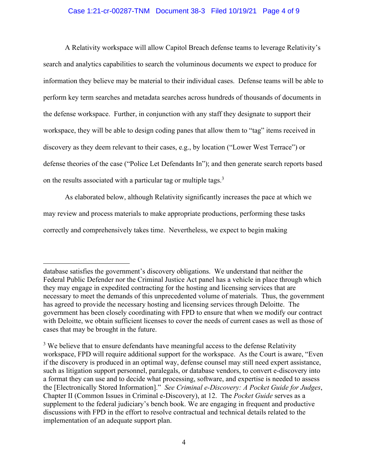### Case 1:21-cr-00287-TNM Document 38-3 Filed 10/19/21 Page 4 of 9

A Relativity workspace will allow Capitol Breach defense teams to leverage Relativity's search and analytics capabilities to search the voluminous documents we expect to produce for information they believe may be material to their individual cases. Defense teams will be able to perform key term searches and metadata searches across hundreds of thousands of documents in the defense workspace. Further, in conjunction with any staff they designate to support their workspace, they will be able to design coding panes that allow them to "tag" items received in discovery as they deem relevant to their cases, e.g., by location ("Lower West Terrace") or defense theories of the case ("Police Let Defendants In"); and then generate search reports based on the results associated with a particular tag or multiple tags.<sup>3</sup>

As elaborated below, although Relativity significantly increases the pace at which we may review and process materials to make appropriate productions, performing these tasks correctly and comprehensively takes time. Nevertheless, we expect to begin making

database satisfies the government's discovery obligations. We understand that neither the Federal Public Defender nor the Criminal Justice Act panel has a vehicle in place through which they may engage in expedited contracting for the hosting and licensing services that are necessary to meet the demands of this unprecedented volume of materials. Thus, the government has agreed to provide the necessary hosting and licensing services through Deloitte. The government has been closely coordinating with FPD to ensure that when we modify our contract with Deloitte, we obtain sufficient licenses to cover the needs of current cases as well as those of cases that may be brought in the future.

 $3$  We believe that to ensure defendants have meaningful access to the defense Relativity workspace, FPD will require additional support for the workspace. As the Court is aware, "Even if the discovery is produced in an optimal way, defense counsel may still need expert assistance, such as litigation support personnel, paralegals, or database vendors, to convert e-discovery into a format they can use and to decide what processing, software, and expertise is needed to assess the [Electronically Stored Information]." *See Criminal e-Discovery: A Pocket Guide for Judges*, Chapter II (Common Issues in Criminal e-Discovery), at 12.The *Pocket Guide* serves as a supplement to the federal judiciary's bench book. We are engaging in frequent and productive discussions with FPD in the effort to resolve contractual and technical details related to the implementation of an adequate support plan.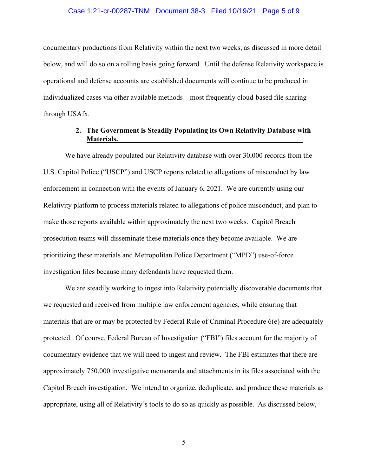### Case 1:21-cr-00287-TNM Document 38-3 Filed 10/19/21 Page 5 of 9

documentary productions from Relativity within the next two weeks, as discussed in more detail below, and will do so on a rolling basis going forward. Until the defense Relativity workspace is operational and defense accounts are established documents will continue to be produced in individualized cases via other available methods – most frequently cloud-based file sharing through USAfx.

### **2. The Government is Steadily Populating its Own Relativity Database with Materials.**

We have already populated our Relativity database with over 30,000 records from the U.S. Capitol Police ("USCP") and USCP reports related to allegations of misconduct by law enforcement in connection with the events of January 6, 2021. We are currently using our Relativity platform to process materials related to allegations of police misconduct, and plan to make those reports available within approximately the next two weeks. Capitol Breach prosecution teams will disseminate these materials once they become available. We are prioritizing these materials and Metropolitan Police Department ("MPD") use-of-force investigation files because many defendants have requested them.

We are steadily working to ingest into Relativity potentially discoverable documents that we requested and received from multiple law enforcement agencies, while ensuring that materials that are or may be protected by Federal Rule of Criminal Procedure 6(e) are adequately protected. Of course, Federal Bureau of Investigation ("FBI") files account for the majority of documentary evidence that we will need to ingest and review. The FBI estimates that there are approximately 750,000 investigative memoranda and attachments in its files associated with the Capitol Breach investigation. We intend to organize, deduplicate, and produce these materials as appropriate, using all of Relativity's tools to do so as quickly as possible. As discussed below,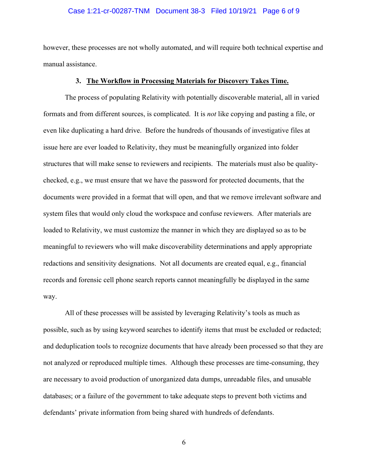### Case 1:21-cr-00287-TNM Document 38-3 Filed 10/19/21 Page 6 of 9

however, these processes are not wholly automated, and will require both technical expertise and manual assistance.

#### **3. The Workflow in Processing Materials for Discovery Takes Time.**

The process of populating Relativity with potentially discoverable material, all in varied formats and from different sources, is complicated. It is *not* like copying and pasting a file, or even like duplicating a hard drive. Before the hundreds of thousands of investigative files at issue here are ever loaded to Relativity, they must be meaningfully organized into folder structures that will make sense to reviewers and recipients. The materials must also be qualitychecked, e.g., we must ensure that we have the password for protected documents, that the documents were provided in a format that will open, and that we remove irrelevant software and system files that would only cloud the workspace and confuse reviewers. After materials are loaded to Relativity, we must customize the manner in which they are displayed so as to be meaningful to reviewers who will make discoverability determinations and apply appropriate redactions and sensitivity designations. Not all documents are created equal, e.g., financial records and forensic cell phone search reports cannot meaningfully be displayed in the same way.

All of these processes will be assisted by leveraging Relativity's tools as much as possible, such as by using keyword searches to identify items that must be excluded or redacted; and deduplication tools to recognize documents that have already been processed so that they are not analyzed or reproduced multiple times. Although these processes are time-consuming, they are necessary to avoid production of unorganized data dumps, unreadable files, and unusable databases; or a failure of the government to take adequate steps to prevent both victims and defendants' private information from being shared with hundreds of defendants.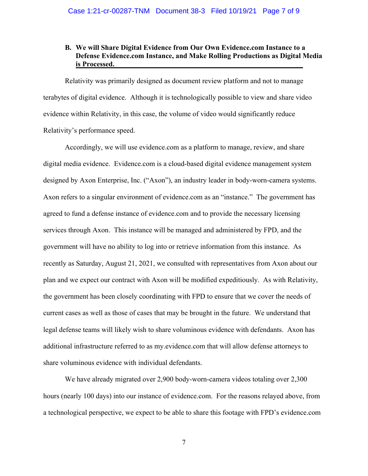### **B. We will Share Digital Evidence from Our Own Evidence.com Instance to a Defense Evidence.com Instance, and Make Rolling Productions as Digital Media is Processed.**

Relativity was primarily designed as document review platform and not to manage terabytes of digital evidence. Although it is technologically possible to view and share video evidence within Relativity, in this case, the volume of video would significantly reduce Relativity's performance speed.

Accordingly, we will use evidence.com as a platform to manage, review, and share digital media evidence. Evidence.com is a cloud-based digital evidence management system designed by Axon Enterprise, Inc. ("Axon"), an industry leader in body-worn-camera systems. Axon refers to a singular environment of evidence.com as an "instance." The government has agreed to fund a defense instance of evidence.com and to provide the necessary licensing services through Axon. This instance will be managed and administered by FPD, and the government will have no ability to log into or retrieve information from this instance. As recently as Saturday, August 21, 2021, we consulted with representatives from Axon about our plan and we expect our contract with Axon will be modified expeditiously. As with Relativity, the government has been closely coordinating with FPD to ensure that we cover the needs of current cases as well as those of cases that may be brought in the future. We understand that legal defense teams will likely wish to share voluminous evidence with defendants. Axon has additional infrastructure referred to as my.evidence.com that will allow defense attorneys to share voluminous evidence with individual defendants.

We have already migrated over 2,900 body-worn-camera videos totaling over 2,300 hours (nearly 100 days) into our instance of evidence.com. For the reasons relayed above, from a technological perspective, we expect to be able to share this footage with FPD's evidence.com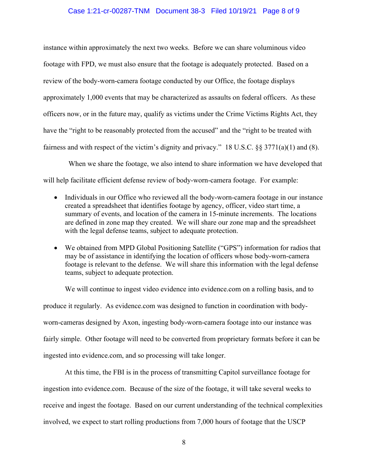### Case 1:21-cr-00287-TNM Document 38-3 Filed 10/19/21 Page 8 of 9

instance within approximately the next two weeks. Before we can share voluminous video footage with FPD, we must also ensure that the footage is adequately protected. Based on a review of the body-worn-camera footage conducted by our Office, the footage displays approximately 1,000 events that may be characterized as assaults on federal officers. As these officers now, or in the future may, qualify as victims under the Crime Victims Rights Act, they have the "right to be reasonably protected from the accused" and the "right to be treated with fairness and with respect of the victim's dignity and privacy." 18 U.S.C. §§ 3771(a)(1) and (8).

 When we share the footage, we also intend to share information we have developed that will help facilitate efficient defense review of body-worn-camera footage. For example:

- Individuals in our Office who reviewed all the body-worn-camera footage in our instance created a spreadsheet that identifies footage by agency, officer, video start time, a summary of events, and location of the camera in 15-minute increments. The locations are defined in zone map they created. We will share our zone map and the spreadsheet with the legal defense teams, subject to adequate protection.
- We obtained from MPD Global Positioning Satellite ("GPS") information for radios that may be of assistance in identifying the location of officers whose body-worn-camera footage is relevant to the defense. We will share this information with the legal defense teams, subject to adequate protection.

We will continue to ingest video evidence into evidence.com on a rolling basis, and to produce it regularly. As evidence.com was designed to function in coordination with bodyworn-cameras designed by Axon, ingesting body-worn-camera footage into our instance was fairly simple. Other footage will need to be converted from proprietary formats before it can be ingested into evidence.com, and so processing will take longer.

At this time, the FBI is in the process of transmitting Capitol surveillance footage for ingestion into evidence.com. Because of the size of the footage, it will take several weeks to receive and ingest the footage. Based on our current understanding of the technical complexities involved, we expect to start rolling productions from 7,000 hours of footage that the USCP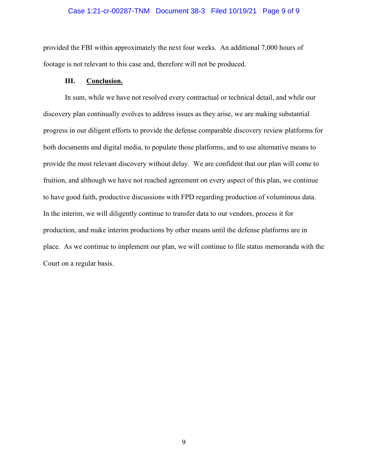### Case 1:21-cr-00287-TNM Document 38-3 Filed 10/19/21 Page 9 of 9

provided the FBI within approximately the next four weeks. An additional 7,000 hours of footage is not relevant to this case and, therefore will not be produced.

### **III. Conclusion.**

In sum, while we have not resolved every contractual or technical detail, and while our discovery plan continually evolves to address issues as they arise, we are making substantial progress in our diligent efforts to provide the defense comparable discovery review platforms for both documents and digital media, to populate those platforms, and to use alternative means to provide the most relevant discovery without delay. We are confident that our plan will come to fruition, and although we have not reached agreement on every aspect of this plan, we continue to have good faith, productive discussions with FPD regarding production of voluminous data. In the interim, we will diligently continue to transfer data to our vendors, process it for production, and make interim productions by other means until the defense platforms are in place. As we continue to implement our plan, we will continue to file status memoranda with the Court on a regular basis.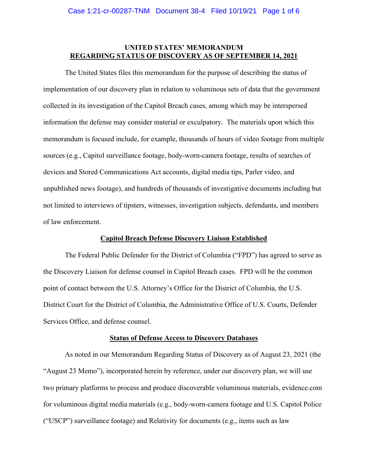### **UNITED STATES' MEMORANDUM REGARDING STATUS OF DISCOVERY AS OF SEPTEMBER 14, 2021**

 The United States files this memorandum for the purpose of describing the status of implementation of our discovery plan in relation to voluminous sets of data that the government collected in its investigation of the Capitol Breach cases, among which may be interspersed information the defense may consider material or exculpatory. The materials upon which this memorandum is focused include, for example, thousands of hours of video footage from multiple sources (e.g., Capitol surveillance footage, body-worn-camera footage, results of searches of devices and Stored Communications Act accounts, digital media tips, Parler video, and unpublished news footage), and hundreds of thousands of investigative documents including but not limited to interviews of tipsters, witnesses, investigation subjects, defendants, and members of law enforcement.

#### **Capitol Breach Defense Discovery Liaison Established**

The Federal Public Defender for the District of Columbia ("FPD") has agreed to serve as the Discovery Liaison for defense counsel in Capitol Breach cases. FPD will be the common point of contact between the U.S. Attorney's Office for the District of Columbia, the U.S. District Court for the District of Columbia, the Administrative Office of U.S. Courts, Defender Services Office, and defense counsel.

#### **Status of Defense Access to Discovery Databases**

As noted in our Memorandum Regarding Status of Discovery as of August 23, 2021 (the "August 23 Memo"), incorporated herein by reference, under our discovery plan, we will use two primary platforms to process and produce discoverable voluminous materials, evidence.com for voluminous digital media materials (e.g., body-worn-camera footage and U.S. Capitol Police ("USCP") surveillance footage) and Relativity for documents (e.g., items such as law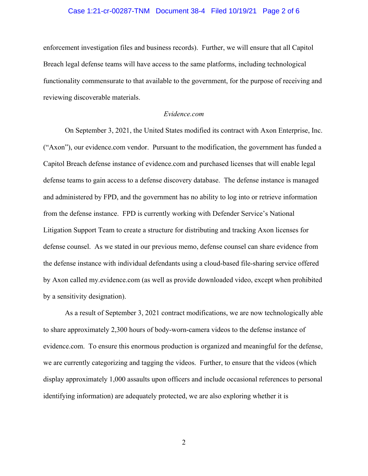### Case 1:21-cr-00287-TNM Document 38-4 Filed 10/19/21 Page 2 of 6

enforcement investigation files and business records). Further, we will ensure that all Capitol Breach legal defense teams will have access to the same platforms, including technological functionality commensurate to that available to the government, for the purpose of receiving and reviewing discoverable materials.

#### *Evidence.com*

On September 3, 2021, the United States modified its contract with Axon Enterprise, Inc. ("Axon"), our evidence.com vendor. Pursuant to the modification, the government has funded a Capitol Breach defense instance of evidence.com and purchased licenses that will enable legal defense teams to gain access to a defense discovery database. The defense instance is managed and administered by FPD, and the government has no ability to log into or retrieve information from the defense instance. FPD is currently working with Defender Service's National Litigation Support Team to create a structure for distributing and tracking Axon licenses for defense counsel. As we stated in our previous memo, defense counsel can share evidence from the defense instance with individual defendants using a cloud-based file-sharing service offered by Axon called my.evidence.com (as well as provide downloaded video, except when prohibited by a sensitivity designation).

 As a result of September 3, 2021 contract modifications, we are now technologically able to share approximately 2,300 hours of body-worn-camera videos to the defense instance of evidence.com. To ensure this enormous production is organized and meaningful for the defense, we are currently categorizing and tagging the videos. Further, to ensure that the videos (which display approximately 1,000 assaults upon officers and include occasional references to personal identifying information) are adequately protected, we are also exploring whether it is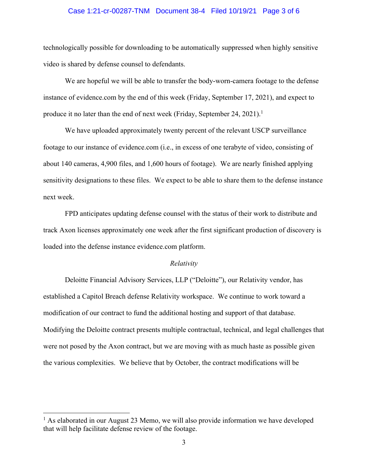### Case 1:21-cr-00287-TNM Document 38-4 Filed 10/19/21 Page 3 of 6

technologically possible for downloading to be automatically suppressed when highly sensitive video is shared by defense counsel to defendants.

We are hopeful we will be able to transfer the body-worn-camera footage to the defense instance of evidence.com by the end of this week (Friday, September 17, 2021), and expect to produce it no later than the end of next week (Friday, September 24, 2021).<sup>1</sup>

 We have uploaded approximately twenty percent of the relevant USCP surveillance footage to our instance of evidence.com (i.e., in excess of one terabyte of video, consisting of about 140 cameras, 4,900 files, and 1,600 hours of footage). We are nearly finished applying sensitivity designations to these files. We expect to be able to share them to the defense instance next week.

FPD anticipates updating defense counsel with the status of their work to distribute and track Axon licenses approximately one week after the first significant production of discovery is loaded into the defense instance evidence.com platform.

### *Relativity*

Deloitte Financial Advisory Services, LLP ("Deloitte"), our Relativity vendor, has established a Capitol Breach defense Relativity workspace. We continue to work toward a modification of our contract to fund the additional hosting and support of that database. Modifying the Deloitte contract presents multiple contractual, technical, and legal challenges that were not posed by the Axon contract, but we are moving with as much haste as possible given the various complexities. We believe that by October, the contract modifications will be

<sup>&</sup>lt;sup>1</sup> As elaborated in our August 23 Memo, we will also provide information we have developed that will help facilitate defense review of the footage.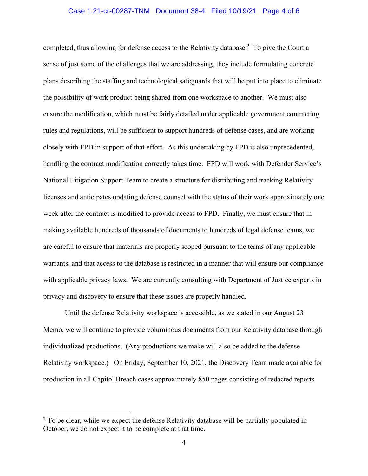### Case 1:21-cr-00287-TNM Document 38-4 Filed 10/19/21 Page 4 of 6

completed, thus allowing for defense access to the Relativity database.<sup>2</sup> To give the Court a sense of just some of the challenges that we are addressing, they include formulating concrete plans describing the staffing and technological safeguards that will be put into place to eliminate the possibility of work product being shared from one workspace to another. We must also ensure the modification, which must be fairly detailed under applicable government contracting rules and regulations, will be sufficient to support hundreds of defense cases, and are working closely with FPD in support of that effort. As this undertaking by FPD is also unprecedented, handling the contract modification correctly takes time. FPD will work with Defender Service's National Litigation Support Team to create a structure for distributing and tracking Relativity licenses and anticipates updating defense counsel with the status of their work approximately one week after the contract is modified to provide access to FPD. Finally, we must ensure that in making available hundreds of thousands of documents to hundreds of legal defense teams, we are careful to ensure that materials are properly scoped pursuant to the terms of any applicable warrants, and that access to the database is restricted in a manner that will ensure our compliance with applicable privacy laws. We are currently consulting with Department of Justice experts in privacy and discovery to ensure that these issues are properly handled.

Until the defense Relativity workspace is accessible, as we stated in our August 23 Memo, we will continue to provide voluminous documents from our Relativity database through individualized productions. (Any productions we make will also be added to the defense Relativity workspace.) On Friday, September 10, 2021, the Discovery Team made available for production in all Capitol Breach cases approximately 850 pages consisting of redacted reports

 $2$  To be clear, while we expect the defense Relativity database will be partially populated in October, we do not expect it to be complete at that time.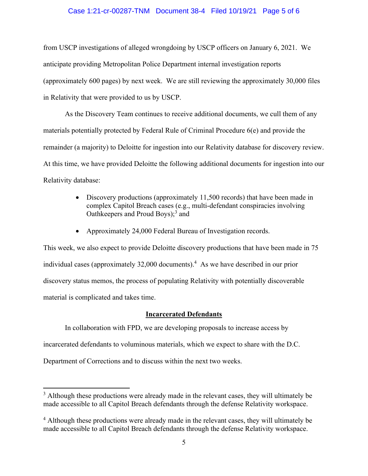### Case 1:21-cr-00287-TNM Document 38-4 Filed 10/19/21 Page 5 of 6

from USCP investigations of alleged wrongdoing by USCP officers on January 6, 2021. We anticipate providing Metropolitan Police Department internal investigation reports (approximately 600 pages) by next week. We are still reviewing the approximately 30,000 files in Relativity that were provided to us by USCP.

As the Discovery Team continues to receive additional documents, we cull them of any materials potentially protected by Federal Rule of Criminal Procedure 6(e) and provide the remainder (a majority) to Deloitte for ingestion into our Relativity database for discovery review. At this time, we have provided Deloitte the following additional documents for ingestion into our Relativity database:

- Discovery productions (approximately 11,500 records) that have been made in complex Capitol Breach cases (e.g., multi-defendant conspiracies involving Oathkeepers and Proud Boys);<sup>3</sup> and
- Approximately 24,000 Federal Bureau of Investigation records.

This week, we also expect to provide Deloitte discovery productions that have been made in 75 individual cases (approximately 32,000 documents).<sup>4</sup> As we have described in our prior discovery status memos, the process of populating Relativity with potentially discoverable material is complicated and takes time.

### **Incarcerated Defendants**

In collaboration with FPD, we are developing proposals to increase access by

incarcerated defendants to voluminous materials, which we expect to share with the D.C.

Department of Corrections and to discuss within the next two weeks.

 $3$  Although these productions were already made in the relevant cases, they will ultimately be made accessible to all Capitol Breach defendants through the defense Relativity workspace.

<sup>&</sup>lt;sup>4</sup> Although these productions were already made in the relevant cases, they will ultimately be made accessible to all Capitol Breach defendants through the defense Relativity workspace.